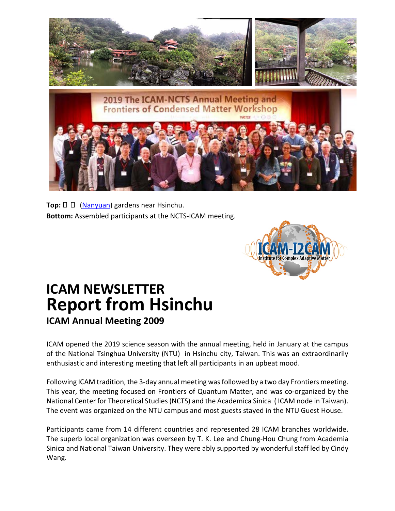

**Top:** □ □ [\(Nanyuan\)](http://www.nanyuan.theonestyle.com/english/index.asp) gardens near Hsinchu. **Bottom:** Assembled participants at the NCTS-ICAM meeting.



## **ICAM NEWSLETTER Report from Hsinchu ICAM Annual Meeting 2009**

ICAM opened the 2019 science season with the annual meeting, held in January at the campus of the National Tsinghua University (NTU) in Hsinchu city, Taiwan. This was an extraordinarily enthusiastic and interesting meeting that left all participants in an upbeat mood.

Following ICAM tradition, the 3-day annual meeting wasfollowed by a two day Frontiers meeting. This year, the meeting focused on Frontiers of Quantum Matter, and was co-organized by the National Center for Theoretical Studies(NCTS) and the Academica Sinica ( ICAM node in Taiwan). The event was organized on the NTU campus and most guests stayed in the NTU Guest House.

Participants came from 14 different countries and represented 28 ICAM branches worldwide. The superb local organization was overseen by T. K. Lee and Chung-Hou Chung from Academia Sinica and National Taiwan University. They were ably supported by wonderful staff led by Cindy Wang.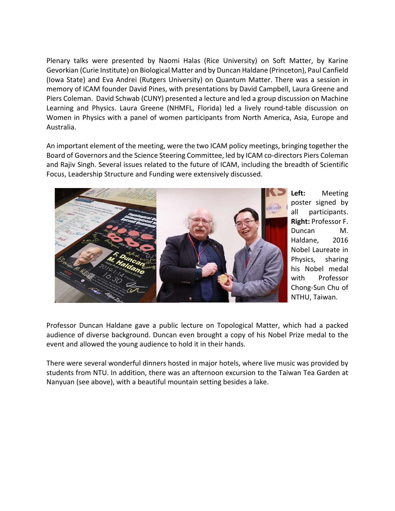Plenary talks were presented by Naomi Halas (Rice University) on Soft Matter, by Karine Gevorkian (Curie Institute) on Biological Matter and by Duncan Haldane (Princeton), Paul Canfield (Iowa State) and Eva Andrei (Rutgers University) on Quantum Matter. There was a session in memory of ICAM founder David Pines, with presentations by David Campbell, Laura Greene and Piers Coleman. David Schwab (CUNY) presented a lecture and led a group discussion on Machine Learning and Physics. Laura Greene (NHMFL, Florida) led a lively round-table discussion on Women in Physics with a panel of women participants from North America, Asia, Europe and Australia.

An important element of the meeting, were the two ICAM policy meetings, bringing together the Board of Governors and the Science Steering Committee, led by ICAM co-directors Piers Coleman and Rajiv Singh. Several issues related to the future of ICAM, including the breadth of Scientific Focus, Leadership Structure and Funding were extensively discussed.



**Left:** Meeting poster signed by all participants. **Right:** Professor F. Duncan M. Haldane, 2016 Nobel Laureate in Physics, sharing his Nobel medal with Professor Chong-Sun Chu of NTHU, Taiwan.

Professor Duncan Haldane gave a public lecture on Topological Matter, which had a packed audience of diverse background. Duncan even brought a copy of his Nobel Prize medal to the event and allowed the young audience to hold it in their hands.

There were several wonderful dinners hosted in major hotels, where live music was provided by students from NTU. In addition, there was an afternoon excursion to the Taiwan Tea Garden at Nanyuan (see above), with a beautiful mountain setting besides a lake.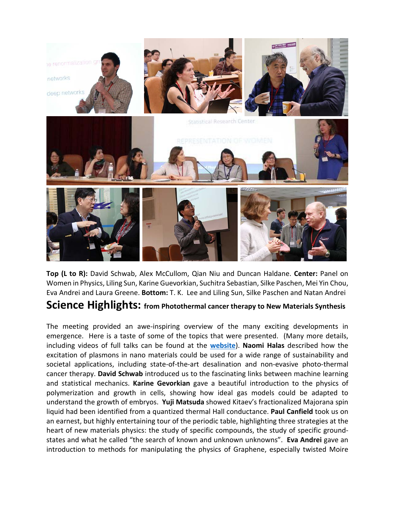

**Top (L to R):** David Schwab, Alex McCullom, Qian Niu and Duncan Haldane. **Center:** Panel on Women in Physics, Liling Sun, Karine Guevorkian, Suchitra Sebastian, Silke Paschen, Mei Yin Chou, Eva Andrei and Laura Greene. **Bottom:** T. K. Lee and Liling Sun, Silke Paschen and Natan Andrei

### **Science Highlights: from Photothermal cancer therapy to New Materials Synthesis**

The meeting provided an awe-inspiring overview of the many exciting developments in emergence. Here is a taste of some of the topics that were presented. (Many more details, including videos of full talks can be found at the **[website](http://phys.cts.nthu.edu.tw/actnews/intro.php?Sn=437&OSn=1048)**). **Naomi Halas** described how the excitation of plasmons in nano materials could be used for a wide range of sustainability and societal applications, including state-of-the-art desalination and non-evasive photo-thermal cancer therapy. **David Schwab** introduced us to the fascinating links between machine learning and statistical mechanics. **Karine Gevorkian** gave a beautiful introduction to the physics of polymerization and growth in cells, showing how ideal gas models could be adapted to understand the growth of embryos. **Yuji Matsuda** showed Kitaev's fractionalized Majorana spin liquid had been identified from a quantized thermal Hall conductance. **Paul Canfield** took us on an earnest, but highly entertaining tour of the periodic table, highlighting three strategies at the heart of new materials physics: the study of specific compounds, the study of specific groundstates and what he called "the search of known and unknown unknowns". **Eva Andrei** gave an introduction to methods for manipulating the physics of Graphene, especially twisted Moire